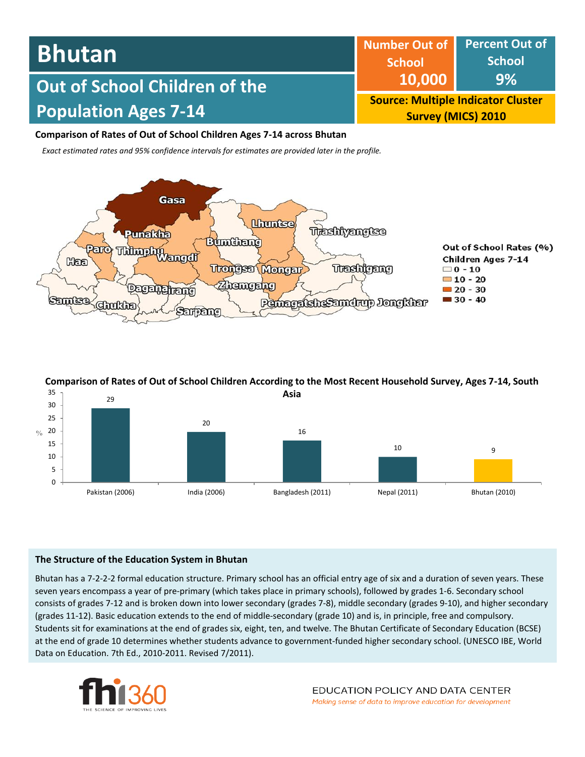| <b>Bhutan</b>                 | <b>School</b>                                                          | Number Out of Percent Out of<br><b>School</b> |  |
|-------------------------------|------------------------------------------------------------------------|-----------------------------------------------|--|
| Out of School Children of the | 10,000                                                                 | 9%                                            |  |
| <b>Population Ages 7-14</b>   | <b>Source: Multiple Indicator Cluster</b><br><b>Survey (MICS) 2010</b> |                                               |  |

## **Comparison of Rates of Out of School Children Ages 7-14 across Bhutan**

*Exact estimated rates and 95% confidence intervals for estimates are provided later in the profile.* 



# **Comparison of Rates of Out of School Children According to the Most Recent Household Survey, Ages 7-14, South**



### **The Structure of the Education System in Bhutan**

Bhutan has a 7-2-2-2 formal education structure. Primary school has an official entry age of six and a duration of seven years. These seven years encompass a year of pre-primary (which takes place in primary schools), followed by grades 1-6. Secondary school consists of grades 7-12 and is broken down into lower secondary (grades 7-8), middle secondary (grades 9-10), and higher secondary (grades 11-12). Basic education extends to the end of middle-secondary (grade 10) and is, in principle, free and compulsory. Students sit for examinations at the end of grades six, eight, ten, and twelve. The Bhutan Certificate of Secondary Education (BCSE) at the end of grade 10 determines whether students advance to government-funded higher secondary school. (UNESCO IBE, World Data on Education. 7th Ed., 2010-2011. Revised 7/2011).

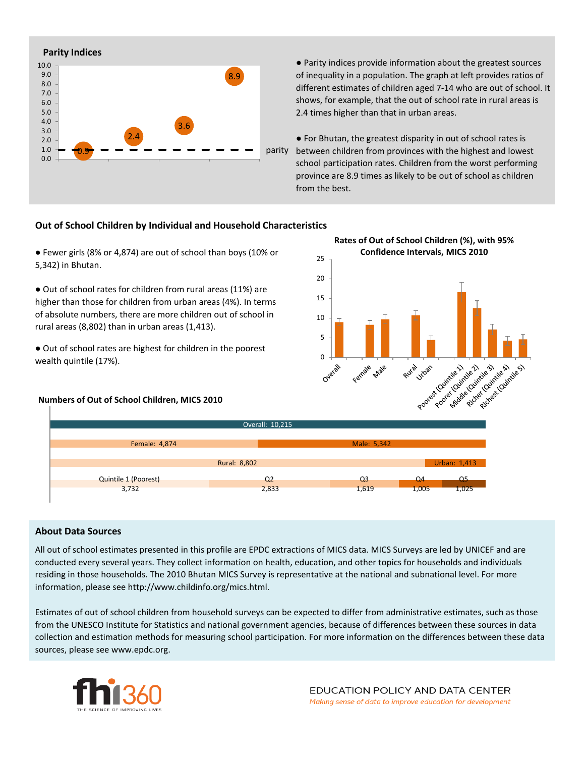

● Parity indices provide information about the greatest sources of inequality in a population. The graph at left provides ratios of different estimates of children aged 7-14 who are out of school. It shows, for example, that the out of school rate in rural areas is 2.4 times higher than that in urban areas.

● For Bhutan, the greatest disparity in out of school rates is parity between children from provinces with the highest and lowest school participation rates. Children from the worst performing province are 8.9 times as likely to be out of school as children from the best.

### **Out of School Children by Individual and Household Characteristics**

● Fewer girls (8% or 4,874) are out of school than boys (10% or 5,342) in Bhutan.

● Out of school rates for children from rural areas (11%) are higher than those for children from urban areas (4%). In terms of absolute numbers, there are more children out of school in rural areas (8,802) than in urban areas (1,413).

● Out of school rates are highest for children in the poorest wealth quintile (17%).

### **Numbers of Out of School Children, MICS 2010**





### **About Data Sources**

All out of school estimates presented in this profile are EPDC extractions of MICS data. MICS Surveys are led by UNICEF and are conducted every several years. They collect information on health, education, and other topics for households and individuals residing in those households. The 2010 Bhutan MICS Survey is representative at the national and subnational level. For more information, please see http://www.childinfo.org/mics.html.

Estimates of out of school children from household surveys can be expected to differ from administrative estimates, such as those from the UNESCO Institute for Statistics and national government agencies, because of differences between these sources in data collection and estimation methods for measuring school participation. For more information on the differences between these data sources, please see www.epdc.org.

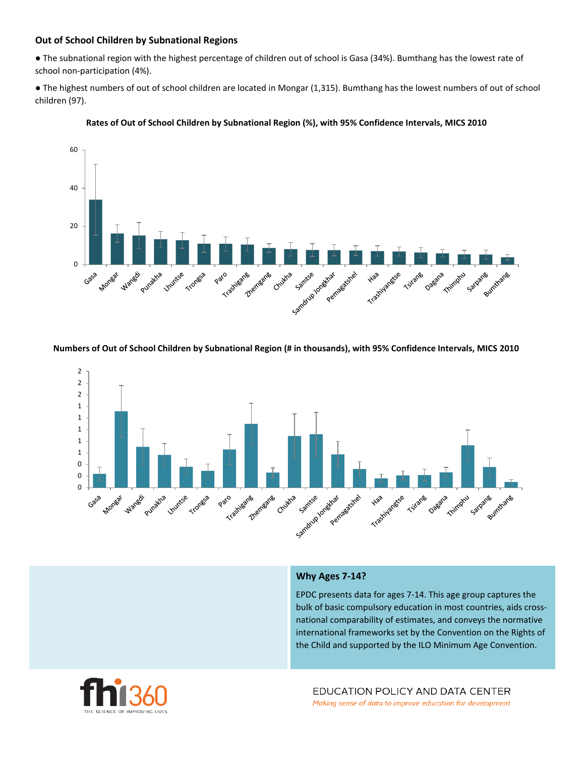### **Out of School Children by Subnational Regions**

● The subnational region with the highest percentage of children out of school is Gasa (34%). Bumthang has the lowest rate of school non-participation (4%).

● The highest numbers of out of school children are located in Mongar (1,315). Bumthang has the lowest numbers of out of school children (97).





#### **Numbers of Out of School Children by Subnational Region (# in thousands), with 95% Confidence Intervals, MICS 2010**



### **Why Ages 7-14?**

EPDC presents data for ages 7-14. This age group captures the bulk of basic compulsory education in most countries, aids crossnational comparability of estimates, and conveys the normative international frameworks set by the Convention on the Rights of the Child and supported by the ILO Minimum Age Convention.

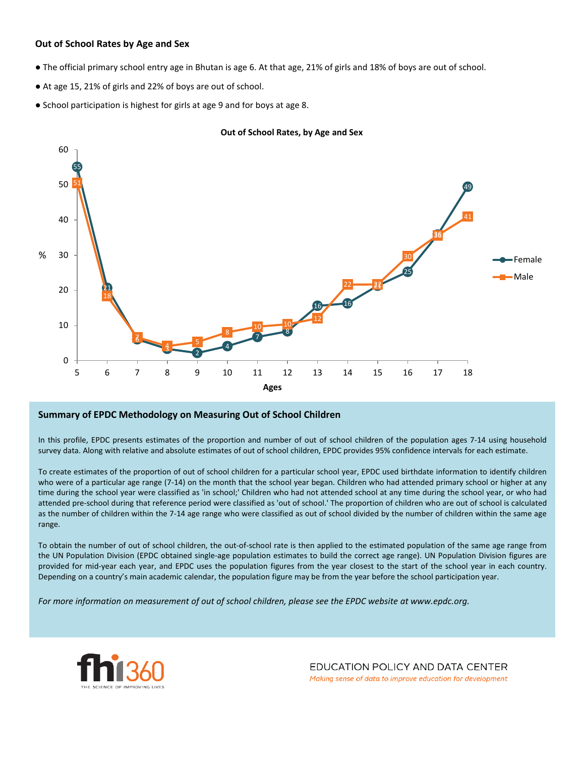### **Out of School Rates by Age and Sex**

- The official primary school entry age in Bhutan is age 6. At that age, 21% of girls and 18% of boys are out of school.
- At age 15, 21% of girls and 22% of boys are out of school.
- School participation is highest for girls at age 9 and for boys at age 8.





### **Summary of EPDC Methodology on Measuring Out of School Children**

In this profile, EPDC presents estimates of the proportion and number of out of school children of the population ages 7-14 using household survey data. Along with relative and absolute estimates of out of school children, EPDC provides 95% confidence intervals for each estimate.

To create estimates of the proportion of out of school children for a particular school year, EPDC used birthdate information to identify children who were of a particular age range (7-14) on the month that the school year began. Children who had attended primary school or higher at any time during the school year were classified as 'in school;' Children who had not attended school at any time during the school year, or who had attended pre-school during that reference period were classified as 'out of school.' The proportion of children who are out of school is calculated as the number of children within the 7-14 age range who were classified as out of school divided by the number of children within the same age range.

To obtain the number of out of school children, the out-of-school rate is then applied to the estimated population of the same age range from the UN Population Division (EPDC obtained single-age population estimates to build the correct age range). UN Population Division figures are provided for mid-year each year, and EPDC uses the population figures from the year closest to the start of the school year in each country. Depending on a country's main academic calendar, the population figure may be from the year before the school participation year.

For more information on measurement of out of school children, please see the EPDC website at www.epdc.org.



EDUCATION POLICY AND DATA CENTER Making sense of data to improve education for development